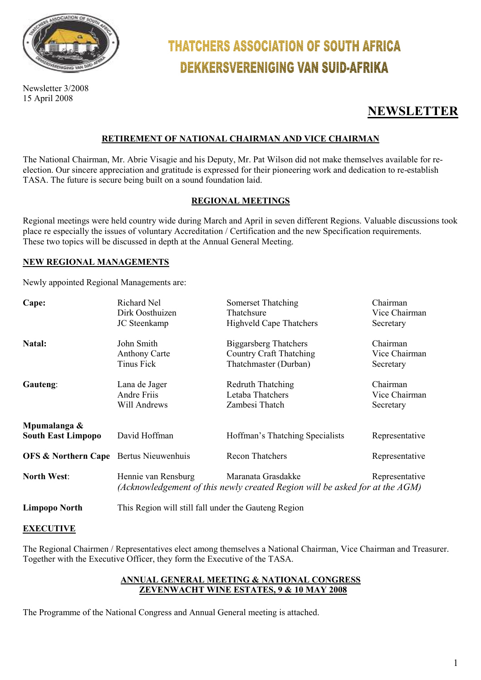

Newsletter 3/2008 15 April 2008

# **THATCHERS ASSOCIATION OF SOUTH AFRICA** DEKKERSVERENIGING VAN SUID-AFRIKA

### **NEWSLETTER**

#### **RETIREMENT OF NATIONAL CHAIRMAN AND VICE CHAIRMAN**

The National Chairman, Mr. Abrie Visagie and his Deputy, Mr. Pat Wilson did not make themselves available for reelection. Our sincere appreciation and gratitude is expressed for their pioneering work and dedication to re-establish TASA. The future is secure being built on a sound foundation laid.

#### **REGIONAL MEETINGS**

Regional meetings were held country wide during March and April in seven different Regions. Valuable discussions took place re especially the issues of voluntary Accreditation / Certification and the new Specification requirements. These two topics will be discussed in depth at the Annual General Meeting.

#### **NEW REGIONAL MANAGEMENTS**

Newly appointed Regional Managements are:

| Cape:                                             | Richard Nel<br>Dirk Oosthuizen<br>JC Steenkamp                                                                                                | Somerset Thatching<br>Thatchsure<br><b>Highveld Cape Thatchers</b>                      | Chairman<br>Vice Chairman<br>Secretary |  |
|---------------------------------------------------|-----------------------------------------------------------------------------------------------------------------------------------------------|-----------------------------------------------------------------------------------------|----------------------------------------|--|
| Natal:                                            | John Smith<br><b>Anthony Carte</b><br>Tinus Fick                                                                                              | <b>Biggarsberg Thatchers</b><br><b>Country Craft Thatching</b><br>Thatchmaster (Durban) | Chairman<br>Vice Chairman<br>Secretary |  |
| Gauteng:                                          | Lana de Jager<br>Andre Friis<br>Will Andrews                                                                                                  | Redruth Thatching<br>Letaba Thatchers<br>Zambesi Thatch                                 | Chairman<br>Vice Chairman<br>Secretary |  |
| Mpumalanga &<br><b>South East Limpopo</b>         | David Hoffman                                                                                                                                 | Hoffman's Thatching Specialists                                                         | Representative                         |  |
| <b>OFS &amp; Northern Cape</b> Bertus Nieuwenhuis |                                                                                                                                               | Recon Thatchers                                                                         | Representative                         |  |
| <b>North West:</b>                                | Hennie van Rensburg<br>Maranata Grasdakke<br>Representative<br>(Acknowledgement of this newly created Region will be asked for at the $AGM$ ) |                                                                                         |                                        |  |
| <b>Limpopo North</b>                              | This Region will still fall under the Gauteng Region                                                                                          |                                                                                         |                                        |  |

#### **EXECUTIVE**

The Regional Chairmen / Representatives elect among themselves a National Chairman, Vice Chairman and Treasurer. Together with the Executive Officer, they form the Executive of the TASA.

#### **ANNUAL GENERAL MEETING & NATIONAL CONGRESS ZEVENWACHT WINE ESTATES, 9 & 10 MAY 2008**

The Programme of the National Congress and Annual General meeting is attached.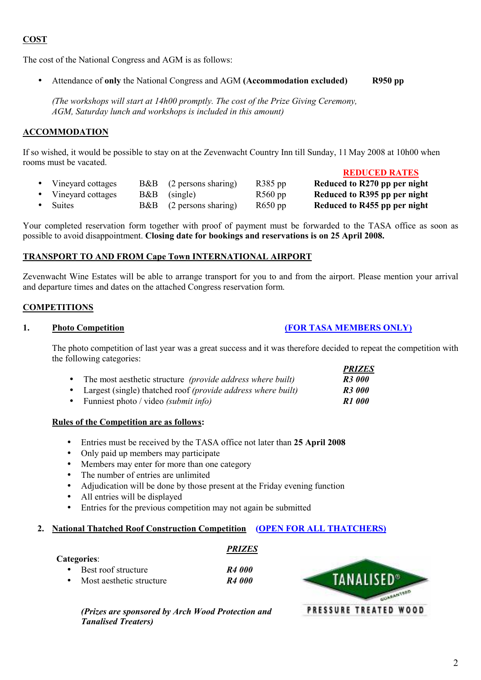#### **COST**

The cost of the National Congress and AGM is as follows:

• Attendance of **only** the National Congress and AGM **(Accommodation excluded) R950 pp** 

*(The workshops will start at 14h00 promptly. The cost of the Prize Giving Ceremony, AGM, Saturday lunch and workshops is included in this amount)* 

#### **ACCOMMODATION**

If so wished, it would be possible to stay on at the Zevenwacht Country Inn till Sunday, 11 May 2008 at 10h00 when rooms must be vacated.

- Vineyard cottages B&B (2 persons sharing) R385 pp **Reduced to R270 pp per night**
- Vineyard cottages B&B (single) R560 pp **Reduced to R395 pp per night**
- Suites B&B (2 persons sharing) R650 pp **Reduced to R455 pp per night**

Your completed reservation form together with proof of payment must be forwarded to the TASA office as soon as possible to avoid disappointment. **Closing date for bookings and reservations is on 25 April 2008.** 

#### **TRANSPORT TO AND FROM Cape Town INTERNATIONAL AIRPORT**

Zevenwacht Wine Estates will be able to arrange transport for you to and from the airport. Please mention your arrival and departure times and dates on the attached Congress reservation form.

#### **COMPETITIONS**

#### 1. Photo Competition **Photo Competition 1.** Photo Competition **(FOR TASA MEMBERS ONLY)**

The photo competition of last year was a great success and it was therefore decided to repeat the competition with the following categories: *PRIZES*

|                                                                       | PRIZES             |
|-----------------------------------------------------------------------|--------------------|
| • The most aesthetic structure <i>(provide address where built)</i>   | <b>R3 000</b>      |
| • Largest (single) thatched roof <i>(provide address where built)</i> | <b>R3 000</b>      |
| • Funniest photo / video <i>(submit info)</i>                         | R <sub>1</sub> 000 |

#### **Rules of the Competition are as follows:**

- Entries must be received by the TASA office not later than **25 April 2008**
- Only paid up members may participate
- Members may enter for more than one category
- The number of entries are unlimited
- Adjudication will be done by those present at the Friday evening function
- All entries will be displayed
- Entries for the previous competition may not again be submitted

#### **2. National Thatched Roof Construction Competition (OPEN FOR ALL THATCHERS)**

*PRIZES*

#### **Categories**:

| Best roof structure      | R4 000 |
|--------------------------|--------|
| Most aesthetic structure | R4 000 |

*(Prizes are sponsored by Arch Wood Protection and Tanalised Treaters)* 



## **REDUCED RATES**

2